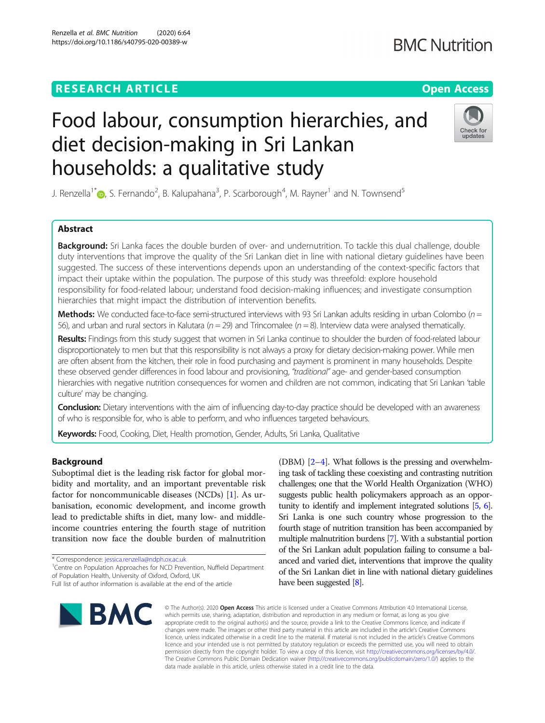## **RESEARCH ARTICLE Example 2014 12:30 The Contract of Contract ACCESS**

# Food labour, consumption hierarchies, and diet decision-making in Sri Lankan households: a qualitative study

J. Renzella<sup>1\*</sup>®[,](http://orcid.org/0000-0002-1218-851X) S. Fernando<sup>2</sup>, B. Kalupahana<sup>3</sup>, P. Scarborough<sup>4</sup>, M. Rayner<sup>1</sup> and N. Townsend<sup>5</sup>

## Abstract

Background: Sri Lanka faces the double burden of over- and undernutrition. To tackle this dual challenge, double duty interventions that improve the quality of the Sri Lankan diet in line with national dietary guidelines have been suggested. The success of these interventions depends upon an understanding of the context-specific factors that impact their uptake within the population. The purpose of this study was threefold: explore household responsibility for food-related labour; understand food decision-making influences; and investigate consumption hierarchies that might impact the distribution of intervention benefits.

Methods: We conducted face-to-face semi-structured interviews with 93 Sri Lankan adults residing in urban Colombo ( $n =$ 56), and urban and rural sectors in Kalutara ( $n = 29$ ) and Trincomalee ( $n = 8$ ). Interview data were analysed thematically.

Results: Findings from this study suggest that women in Sri Lanka continue to shoulder the burden of food-related labour disproportionately to men but that this responsibility is not always a proxy for dietary decision-making power. While men are often absent from the kitchen, their role in food purchasing and payment is prominent in many households. Despite these observed gender differences in food labour and provisioning, "traditional" age- and gender-based consumption hierarchies with negative nutrition consequences for women and children are not common, indicating that Sri Lankan 'table culture' may be changing.

**Conclusion:** Dietary interventions with the aim of influencing day-to-day practice should be developed with an awareness of who is responsible for, who is able to perform, and who influences targeted behaviours.

Keywords: Food, Cooking, Diet, Health promotion, Gender, Adults, Sri Lanka, Qualitative

## Background

Suboptimal diet is the leading risk factor for global morbidity and mortality, and an important preventable risk factor for noncommunicable diseases (NCDs) [[1\]](#page-8-0). As urbanisation, economic development, and income growth lead to predictable shifts in diet, many low- and middleincome countries entering the fourth stage of nutrition transition now face the double burden of malnutrition

BMC

(DBM) [\[2](#page-8-0)–[4](#page-8-0)]. What follows is the pressing and overwhelming task of tackling these coexisting and contrasting nutrition challenges; one that the World Health Organization (WHO) suggests public health policymakers approach as an opportunity to identify and implement integrated solutions [\[5,](#page-8-0) [6\]](#page-8-0). Sri Lanka is one such country whose progression to the fourth stage of nutrition transition has been accompanied by multiple malnutrition burdens [\[7\]](#page-8-0). With a substantial portion of the Sri Lankan adult population failing to consume a balanced and varied diet, interventions that improve the quality of the Sri Lankan diet in line with national dietary guidelines have been suggested [\[8\]](#page-8-0).

© The Author(s), 2020 **Open Access** This article is licensed under a Creative Commons Attribution 4.0 International License, which permits use, sharing, adaptation, distribution and reproduction in any medium or format, as long as you give appropriate credit to the original author(s) and the source, provide a link to the Creative Commons licence, and indicate if changes were made. The images or other third party material in this article are included in the article's Creative Commons licence, unless indicated otherwise in a credit line to the material. If material is not included in the article's Creative Commons licence and your intended use is not permitted by statutory regulation or exceeds the permitted use, you will need to obtain permission directly from the copyright holder. To view a copy of this licence, visit [http://creativecommons.org/licenses/by/4.0/.](http://creativecommons.org/licenses/by/4.0/) The Creative Commons Public Domain Dedication waiver [\(http://creativecommons.org/publicdomain/zero/1.0/](http://creativecommons.org/publicdomain/zero/1.0/)) applies to the data made available in this article, unless otherwise stated in a credit line to the data.





<sup>\*</sup> Correspondence: [jessica.renzella@ndph.ox.ac.uk](mailto:jessica.renzella@ndph.ox.ac.uk)<br><sup>1</sup>Centre on Population Approaches for NCD Prevention, Nuffield Department of Population Health, University of Oxford, Oxford, UK

Full list of author information is available at the end of the article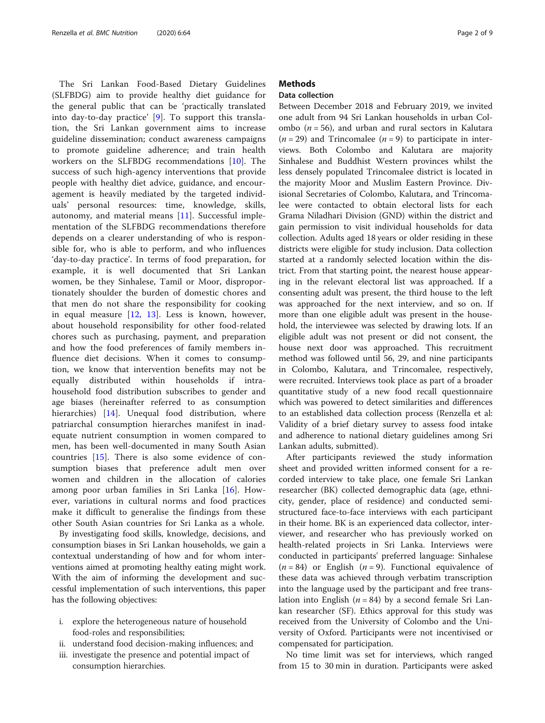The Sri Lankan Food-Based Dietary Guidelines (SLFBDG) aim to provide healthy diet guidance for the general public that can be 'practically translated into day-to-day practice' [\[9](#page-8-0)]. To support this translation, the Sri Lankan government aims to increase guideline dissemination; conduct awareness campaigns to promote guideline adherence; and train health workers on the SLFBDG recommendations [[10\]](#page-8-0). The success of such high-agency interventions that provide people with healthy diet advice, guidance, and encouragement is heavily mediated by the targeted individuals' personal resources: time, knowledge, skills, autonomy, and material means [[11\]](#page-8-0). Successful implementation of the SLFBDG recommendations therefore depends on a clearer understanding of who is responsible for, who is able to perform, and who influences 'day-to-day practice'. In terms of food preparation, for example, it is well documented that Sri Lankan women, be they Sinhalese, Tamil or Moor, disproportionately shoulder the burden of domestic chores and that men do not share the responsibility for cooking in equal measure [\[12](#page-8-0), [13](#page-8-0)]. Less is known, however, about household responsibility for other food-related chores such as purchasing, payment, and preparation and how the food preferences of family members influence diet decisions. When it comes to consumption, we know that intervention benefits may not be equally distributed within households if intrahousehold food distribution subscribes to gender and age biases (hereinafter referred to as consumption hierarchies) [[14](#page-8-0)]. Unequal food distribution, where patriarchal consumption hierarches manifest in inadequate nutrient consumption in women compared to men, has been well-documented in many South Asian countries [\[15](#page-8-0)]. There is also some evidence of consumption biases that preference adult men over women and children in the allocation of calories among poor urban families in Sri Lanka [\[16](#page-8-0)]. However, variations in cultural norms and food practices make it difficult to generalise the findings from these other South Asian countries for Sri Lanka as a whole.

By investigating food skills, knowledge, decisions, and consumption biases in Sri Lankan households, we gain a contextual understanding of how and for whom interventions aimed at promoting healthy eating might work. With the aim of informing the development and successful implementation of such interventions, this paper has the following objectives:

- i. explore the heterogeneous nature of household food-roles and responsibilities;
- ii. understand food decision-making influences; and
- iii. investigate the presence and potential impact of consumption hierarchies.

## **Methods**

## Data collection

Between December 2018 and February 2019, we invited one adult from 94 Sri Lankan households in urban Colombo ( $n = 56$ ), and urban and rural sectors in Kalutara  $(n = 29)$  and Trincomalee  $(n = 9)$  to participate in interviews. Both Colombo and Kalutara are majority Sinhalese and Buddhist Western provinces whilst the less densely populated Trincomalee district is located in the majority Moor and Muslim Eastern Province. Divisional Secretaries of Colombo, Kalutara, and Trincomalee were contacted to obtain electoral lists for each Grama Niladhari Division (GND) within the district and gain permission to visit individual households for data collection. Adults aged 18 years or older residing in these districts were eligible for study inclusion. Data collection started at a randomly selected location within the district. From that starting point, the nearest house appearing in the relevant electoral list was approached. If a consenting adult was present, the third house to the left was approached for the next interview, and so on. If more than one eligible adult was present in the household, the interviewee was selected by drawing lots. If an eligible adult was not present or did not consent, the house next door was approached. This recruitment method was followed until 56, 29, and nine participants in Colombo, Kalutara, and Trincomalee, respectively, were recruited. Interviews took place as part of a broader quantitative study of a new food recall questionnaire which was powered to detect similarities and differences to an established data collection process (Renzella et al: Validity of a brief dietary survey to assess food intake and adherence to national dietary guidelines among Sri Lankan adults, submitted).

After participants reviewed the study information sheet and provided written informed consent for a recorded interview to take place, one female Sri Lankan researcher (BK) collected demographic data (age, ethnicity, gender, place of residence) and conducted semistructured face-to-face interviews with each participant in their home. BK is an experienced data collector, interviewer, and researcher who has previously worked on health-related projects in Sri Lanka. Interviews were conducted in participants' preferred language: Sinhalese  $(n = 84)$  or English  $(n = 9)$ . Functional equivalence of these data was achieved through verbatim transcription into the language used by the participant and free translation into English ( $n = 84$ ) by a second female Sri Lankan researcher (SF). Ethics approval for this study was received from the University of Colombo and the University of Oxford. Participants were not incentivised or compensated for participation.

No time limit was set for interviews, which ranged from 15 to 30 min in duration. Participants were asked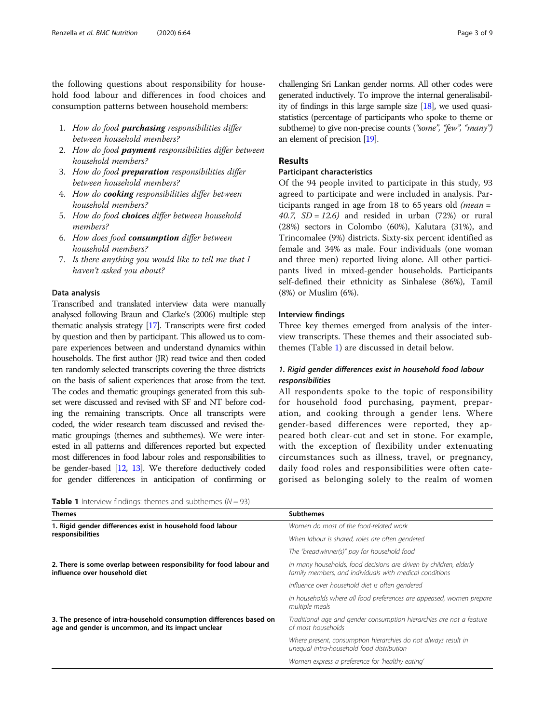the following questions about responsibility for household food labour and differences in food choices and consumption patterns between household members:

- 1. How do food **purchasing** responsibilities differ between household members?
- 2. How do food **payment** responsibilities differ between household members?
- 3. How do food **preparation** responsibilities differ between household members?
- 4. How do cooking responsibilities differ between household members?
- 5. How do food choices differ between household members?
- 6. How does food consumption differ between household members?
- 7. Is there anything you would like to tell me that I haven't asked you about?

#### Data analysis

Transcribed and translated interview data were manually analysed following Braun and Clarke's (2006) multiple step thematic analysis strategy [\[17\]](#page-8-0). Transcripts were first coded by question and then by participant. This allowed us to compare experiences between and understand dynamics within households. The first author (JR) read twice and then coded ten randomly selected transcripts covering the three districts on the basis of salient experiences that arose from the text. The codes and thematic groupings generated from this subset were discussed and revised with SF and NT before coding the remaining transcripts. Once all transcripts were coded, the wider research team discussed and revised thematic groupings (themes and subthemes). We were interested in all patterns and differences reported but expected most differences in food labour roles and responsibilities to be gender-based [\[12,](#page-8-0) [13](#page-8-0)]. We therefore deductively coded for gender differences in anticipation of confirming or

**Table 1** Interview findings: themes and subthemes  $(N = 93)$ 

challenging Sri Lankan gender norms. All other codes were generated inductively. To improve the internal generalisability of findings in this large sample size [[18\]](#page-8-0), we used quasistatistics (percentage of participants who spoke to theme or subtheme) to give non-precise counts ("some", "few", "many") an element of precision [\[19](#page-8-0)].

#### Results

#### Participant characteristics

Of the 94 people invited to participate in this study, 93 agreed to participate and were included in analysis. Participants ranged in age from 18 to 65 years old (*mean* = 40.7,  $SD = 12.6$ ) and resided in urban (72%) or rural (28%) sectors in Colombo (60%), Kalutara (31%), and Trincomalee (9%) districts. Sixty-six percent identified as female and 34% as male. Four individuals (one woman and three men) reported living alone. All other participants lived in mixed-gender households. Participants self-defined their ethnicity as Sinhalese (86%), Tamil (8%) or Muslim (6%).

### Interview findings

Three key themes emerged from analysis of the interview transcripts. These themes and their associated subthemes (Table 1) are discussed in detail below.

## 1. Rigid gender differences exist in household food labour responsibilities

All respondents spoke to the topic of responsibility for household food purchasing, payment, preparation, and cooking through a gender lens. Where gender-based differences were reported, they appeared both clear-cut and set in stone. For example, with the exception of flexibility under extenuating circumstances such as illness, travel, or pregnancy, daily food roles and responsibilities were often categorised as belonging solely to the realm of women

| <b>Themes</b>                                                                                                             | <b>Subthemes</b>                                                                                                              |
|---------------------------------------------------------------------------------------------------------------------------|-------------------------------------------------------------------------------------------------------------------------------|
| 1. Rigid gender differences exist in household food labour<br>responsibilities                                            | Women do most of the food-related work                                                                                        |
|                                                                                                                           | When labour is shared, roles are often gendered                                                                               |
|                                                                                                                           | The "breadwinner(s)" pay for household food                                                                                   |
| 2. There is some overlap between responsibility for food labour and<br>influence over household diet                      | In many households, food decisions are driven by children, elderly<br>family members, and individuals with medical conditions |
|                                                                                                                           | Influence over household diet is often gendered                                                                               |
|                                                                                                                           | In households where all food preferences are appeased, women prepare<br>multiple meals                                        |
| 3. The presence of intra-household consumption differences based on<br>age and gender is uncommon, and its impact unclear | Traditional age and gender consumption hierarchies are not a feature<br>of most households                                    |
|                                                                                                                           | Where present, consumption hierarchies do not always result in<br>unequal intra-household food distribution                   |
|                                                                                                                           | Women express a preference for 'healthy eating'                                                                               |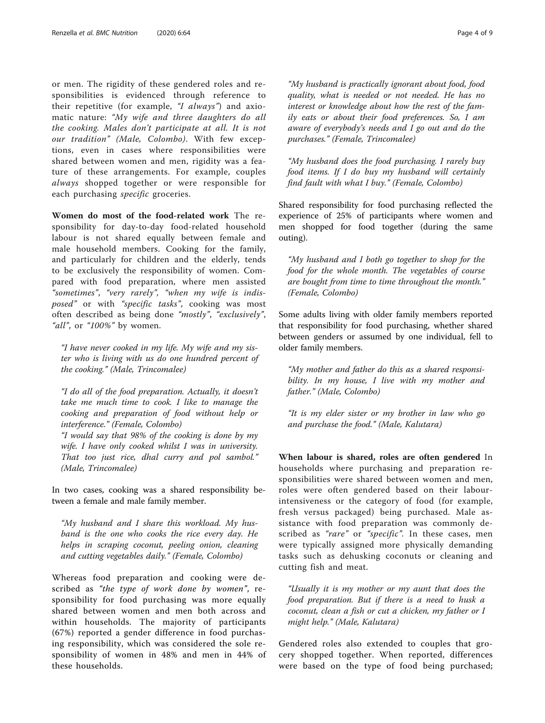or men. The rigidity of these gendered roles and responsibilities is evidenced through reference to their repetitive (for example, "I always") and axiomatic nature: "My wife and three daughters do all the cooking. Males don't participate at all. It is not our tradition" (Male, Colombo). With few exceptions, even in cases where responsibilities were shared between women and men, rigidity was a feature of these arrangements. For example, couples always shopped together or were responsible for each purchasing specific groceries.

Women do most of the food-related work The responsibility for day-to-day food-related household labour is not shared equally between female and male household members. Cooking for the family, and particularly for children and the elderly, tends to be exclusively the responsibility of women. Compared with food preparation, where men assisted "sometimes", "very rarely", "when my wife is indisposed" or with "specific tasks", cooking was most often described as being done "mostly", "exclusively", "all", or " $100\%$ " by women.

"I have never cooked in my life. My wife and my sister who is living with us do one hundred percent of the cooking." (Male, Trincomalee)

"I do all of the food preparation. Actually, it doesn't take me much time to cook. I like to manage the cooking and preparation of food without help or interference." (Female, Colombo)

"I would say that 98% of the cooking is done by my wife. I have only cooked whilst I was in university. That too just rice, dhal curry and pol sambol." (Male, Trincomalee)

In two cases, cooking was a shared responsibility between a female and male family member.

"My husband and I share this workload. My husband is the one who cooks the rice every day. He helps in scraping coconut, peeling onion, cleaning and cutting vegetables daily." (Female, Colombo)

Whereas food preparation and cooking were described as "the type of work done by women", responsibility for food purchasing was more equally shared between women and men both across and within households. The majority of participants (67%) reported a gender difference in food purchasing responsibility, which was considered the sole responsibility of women in 48% and men in 44% of these households.

"My husband is practically ignorant about food, food quality, what is needed or not needed. He has no interest or knowledge about how the rest of the family eats or about their food preferences. So, I am aware of everybody's needs and I go out and do the purchases." (Female, Trincomalee)

"My husband does the food purchasing. I rarely buy food items. If I do buy my husband will certainly find fault with what I buy." (Female, Colombo)

Shared responsibility for food purchasing reflected the experience of 25% of participants where women and men shopped for food together (during the same outing).

"My husband and I both go together to shop for the food for the whole month. The vegetables of course are bought from time to time throughout the month." (Female, Colombo)

Some adults living with older family members reported that responsibility for food purchasing, whether shared between genders or assumed by one individual, fell to older family members.

"My mother and father do this as a shared responsibility. In my house, I live with my mother and father." (Male, Colombo)

"It is my elder sister or my brother in law who go and purchase the food." (Male, Kalutara)

When labour is shared, roles are often gendered In households where purchasing and preparation responsibilities were shared between women and men, roles were often gendered based on their labourintensiveness or the category of food (for example, fresh versus packaged) being purchased. Male assistance with food preparation was commonly described as "rare" or "specific". In these cases, men were typically assigned more physically demanding tasks such as dehusking coconuts or cleaning and cutting fish and meat.

"Usually it is my mother or my aunt that does the food preparation. But if there is a need to husk a coconut, clean a fish or cut a chicken, my father or I might help." (Male, Kalutara)

Gendered roles also extended to couples that grocery shopped together. When reported, differences were based on the type of food being purchased;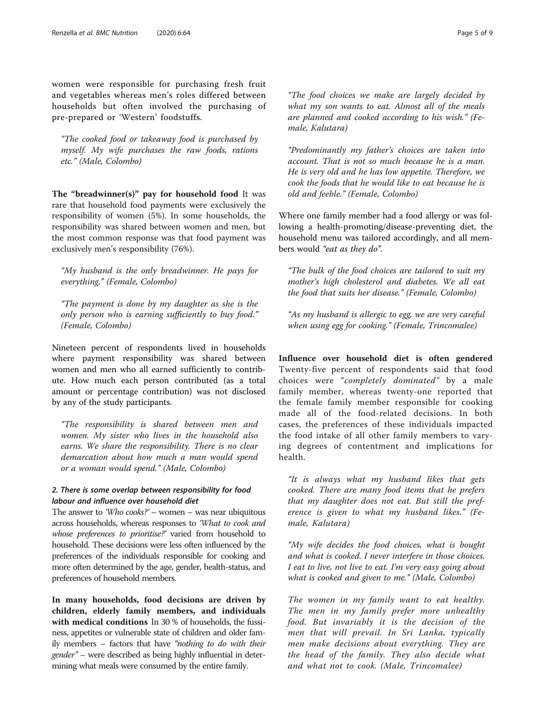women were responsible for purchasing fresh fruit and vegetables whereas men's roles differed between households but often involved the purchasing of pre-prepared or 'Western' foodstuffs.

"The cooked food or takeaway food is purchased by myself. My wife purchases the raw foods, rations etc." (Male, Colombo)

The "breadwinner(s)" pay for household food It was rare that household food payments were exclusively the responsibility of women (5%). In some households, the responsibility was shared between women and men, but the most common response was that food payment was exclusively men's responsibility (76%).

"My husband is the only breadwinner. He pays for everything." (Female, Colombo)

"The payment is done by my daughter as she is the only person who is earning sufficiently to buy food." (Female, Colombo)

Nineteen percent of respondents lived in households where payment responsibility was shared between women and men who all earned sufficiently to contribute. How much each person contributed (as a total amount or percentage contribution) was not disclosed by any of the study participants.

"The responsibility is shared between men and women. My sister who lives in the household also earns. We share the responsibility. There is no clear demarcation about how much a man would spend or a woman would spend." (Male, Colombo)

## 2. There is some overlap between responsibility for food labour and influence over household diet

The answer to 'Who cooks?' – women – was near ubiquitous across households, whereas responses to 'What to cook and whose preferences to prioritise?' varied from household to household. These decisions were less often influenced by the preferences of the individuals responsible for cooking and more often determined by the age, gender, health-status, and preferences of household members.

In many households, food decisions are driven by children, elderly family members, and individuals with medical conditions In 30 % of households, the fussiness, appetites or vulnerable state of children and older family members – factors that have "nothing to do with their gender" – were described as being highly influential in determining what meals were consumed by the entire family.

"The food choices we make are largely decided by what my son wants to eat. Almost all of the meals are planned and cooked according to his wish." (Female, Kalutara)

"Predominantly my father's choices are taken into account. That is not so much because he is a man. He is very old and he has low appetite. Therefore, we cook the foods that he would like to eat because he is old and feeble." (Female, Colombo)

Where one family member had a food allergy or was following a health-promoting/disease-preventing diet, the household menu was tailored accordingly, and all members would "eat as they do".

"The bulk of the food choices are tailored to suit my mother's high cholesterol and diabetes. We all eat the food that suits her disease." (Female, Colombo)

"As my husband is allergic to egg, we are very careful when using egg for cooking." (Female, Trincomalee)

Influence over household diet is often gendered Twenty-five percent of respondents said that food choices were "completely dominated" by a male family member, whereas twenty-one reported that the female family member responsible for cooking made all of the food-related decisions. In both cases, the preferences of these individuals impacted the food intake of all other family members to varying degrees of contentment and implications for health.

"It is always what my husband likes that gets cooked. There are many food items that he prefers that my daughter does not eat. But still the preference is given to what my husband likes." (Female, Kalutara)

"My wife decides the food choices, what is bought and what is cooked. I never interfere in those choices. I eat to live, not live to eat. I'm very easy going about what is cooked and given to me." (Male, Colombo)

The women in my family want to eat healthy. The men in my family prefer more unhealthy food. But invariably it is the decision of the men that will prevail. In Sri Lanka, typically men make decisions about everything. They are the head of the family. They also decide what and what not to cook. (Male, Trincomalee)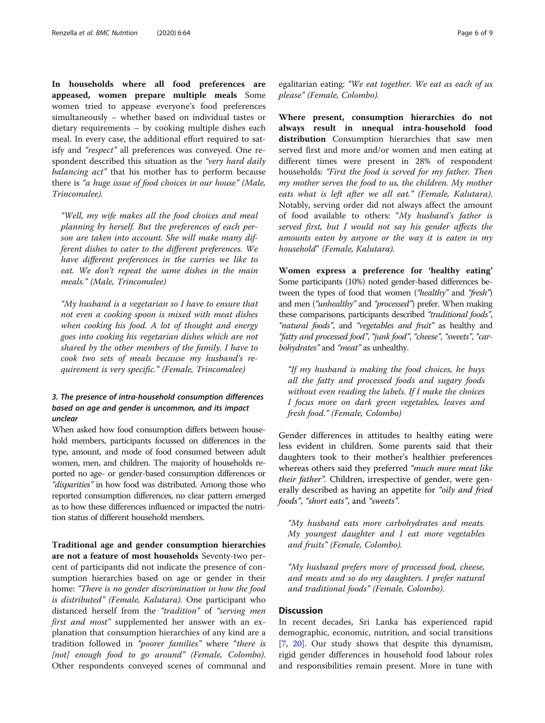In households where all food preferences are appeased, women prepare multiple meals Some women tried to appease everyone's food preferences simultaneously – whether based on individual tastes or dietary requirements – by cooking multiple dishes each meal. In every case, the additional effort required to satisfy and "respect" all preferences was conveyed. One respondent described this situation as the "very hard daily" balancing act" that his mother has to perform because there is "a huge issue of food choices in our house" (Male, Trincomalee).

"Well, my wife makes all the food choices and meal planning by herself. But the preferences of each person are taken into account. She will make many different dishes to cater to the different preferences. We have different preferences in the curries we like to eat. We don't repeat the same dishes in the main meals." (Male, Trincomalee)

"My husband is a vegetarian so I have to ensure that not even a cooking spoon is mixed with meat dishes when cooking his food. A lot of thought and energy goes into cooking his vegetarian dishes which are not shared by the other members of the family. I have to cook two sets of meals because my husband's requirement is very specific." (Female, Trincomalee)

## 3. The presence of intra-household consumption differences based on age and gender is uncommon, and its impact unclear

When asked how food consumption differs between household members, participants focussed on differences in the type, amount, and mode of food consumed between adult women, men, and children. The majority of households reported no age- or gender-based consumption differences or "disparities" in how food was distributed. Among those who reported consumption differences, no clear pattern emerged as to how these differences influenced or impacted the nutrition status of different household members.

Traditional age and gender consumption hierarchies are not a feature of most households Seventy-two percent of participants did not indicate the presence of consumption hierarchies based on age or gender in their home: "There is no gender discrimination in how the food is distributed" (Female, Kalutara). One participant who distanced herself from the "tradition" of "serving men first and most" supplemented her answer with an explanation that consumption hierarchies of any kind are a tradition followed in "poorer families" where "there is [not] enough food to go around" (Female, Colombo). Other respondents conveyed scenes of communal and

egalitarian eating: "We eat together. We eat as each of us please" (Female, Colombo).

Where present, consumption hierarchies do not always result in unequal intra-household food distribution Consumption hierarchies that saw men served first and more and/or women and men eating at different times were present in 28% of respondent households: "First the food is served for my father. Then my mother serves the food to us, the children. My mother eats what is left after we all eat." (Female, Kalutara). Notably, serving order did not always affect the amount of food available to others: "My husband's father is served first, but I would not say his gender affects the amounts eaten by anyone or the way it is eaten in my household" (Female, Kalutara).

Women express a preference for 'healthy eating' Some participants (10%) noted gender-based differences between the types of food that women ("healthy" and "fresh") and men ("unhealthy" and "processed") prefer. When making these comparisons, participants described "traditional foods", "natural foods", and "vegetables and fruit" as healthy and "fatty and processed food", "junk food", "cheese", "sweets", "carbohydrates" and "meat" as unhealthy.

"If my husband is making the food choices, he buys all the fatty and processed foods and sugary foods without even reading the labels. If I make the choices I focus more on dark green vegetables, leaves and fresh food." (Female, Colombo)

Gender differences in attitudes to healthy eating were less evident in children. Some parents said that their daughters took to their mother's healthier preferences whereas others said they preferred "much more meat like their father". Children, irrespective of gender, were generally described as having an appetite for "oily and fried foods", "short eats", and "sweets".

"My husband eats more carbohydrates and meats. My youngest daughter and I eat more vegetables and fruits" (Female, Colombo).

"My husband prefers more of processed food, cheese, and meats and so do my daughters. I prefer natural and traditional foods" (Female, Colombo).

#### **Discussion**

In recent decades, Sri Lanka has experienced rapid demographic, economic, nutrition, and social transitions [[7,](#page-8-0) [20\]](#page-8-0). Our study shows that despite this dynamism, rigid gender differences in household food labour roles and responsibilities remain present. More in tune with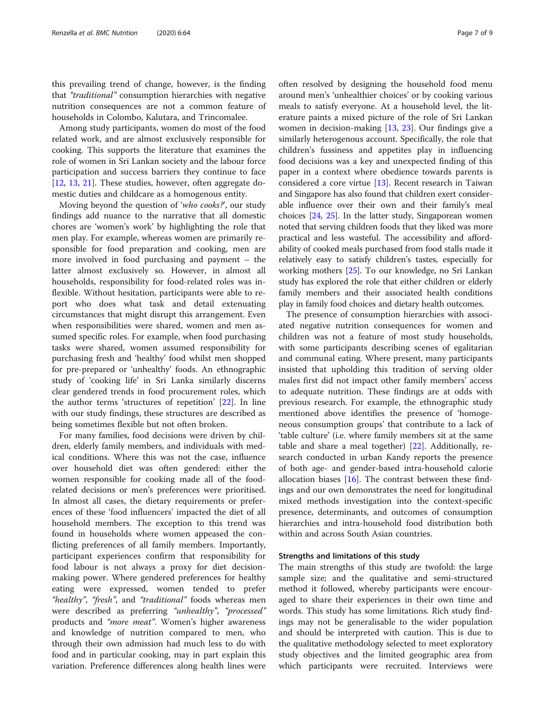this prevailing trend of change, however, is the finding that "traditional" consumption hierarchies with negative nutrition consequences are not a common feature of households in Colombo, Kalutara, and Trincomalee.

Among study participants, women do most of the food related work, and are almost exclusively responsible for cooking. This supports the literature that examines the role of women in Sri Lankan society and the labour force participation and success barriers they continue to face [[12,](#page-8-0) [13](#page-8-0), [21](#page-8-0)]. These studies, however, often aggregate domestic duties and childcare as a homogenous entity.

Moving beyond the question of 'who cooks?', our study findings add nuance to the narrative that all domestic chores are 'women's work' by highlighting the role that men play. For example, whereas women are primarily responsible for food preparation and cooking, men are more involved in food purchasing and payment – the latter almost exclusively so. However, in almost all households, responsibility for food-related roles was inflexible. Without hesitation, participants were able to report who does what task and detail extenuating circumstances that might disrupt this arrangement. Even when responsibilities were shared, women and men assumed specific roles. For example, when food purchasing tasks were shared, women assumed responsibility for purchasing fresh and 'healthy' food whilst men shopped for pre-prepared or 'unhealthy' foods. An ethnographic study of 'cooking life' in Sri Lanka similarly discerns clear gendered trends in food procurement roles, which the author terms 'structures of repetition' [[22](#page-8-0)]. In line with our study findings, these structures are described as being sometimes flexible but not often broken.

For many families, food decisions were driven by children, elderly family members, and individuals with medical conditions. Where this was not the case, influence over household diet was often gendered: either the women responsible for cooking made all of the foodrelated decisions or men's preferences were prioritised. In almost all cases, the dietary requirements or preferences of these 'food influencers' impacted the diet of all household members. The exception to this trend was found in households where women appeased the conflicting preferences of all family members. Importantly, participant experiences confirm that responsibility for food labour is not always a proxy for diet decisionmaking power. Where gendered preferences for healthy eating were expressed, women tended to prefer "healthy", "fresh", and "traditional" foods whereas men were described as preferring "unhealthy", "processed" products and "more meat". Women's higher awareness and knowledge of nutrition compared to men, who through their own admission had much less to do with food and in particular cooking, may in part explain this variation. Preference differences along health lines were often resolved by designing the household food menu around men's 'unhealthier choices' or by cooking various meals to satisfy everyone. At a household level, the literature paints a mixed picture of the role of Sri Lankan women in decision-making [[13,](#page-8-0) [23](#page-8-0)]. Our findings give a similarly heterogenous account. Specifically, the role that children's fussiness and appetites play in influencing food decisions was a key and unexpected finding of this paper in a context where obedience towards parents is considered a core virtue [[13\]](#page-8-0). Recent research in Taiwan and Singapore has also found that children exert considerable influence over their own and their family's meal choices [\[24,](#page-8-0) [25](#page-8-0)]. In the latter study, Singaporean women noted that serving children foods that they liked was more practical and less wasteful. The accessibility and affordability of cooked meals purchased from food stalls made it relatively easy to satisfy children's tastes, especially for working mothers [[25](#page-8-0)]. To our knowledge, no Sri Lankan study has explored the role that either children or elderly family members and their associated health conditions play in family food choices and dietary health outcomes.

The presence of consumption hierarchies with associated negative nutrition consequences for women and children was not a feature of most study households, with some participants describing scenes of egalitarian and communal eating. Where present, many participants insisted that upholding this tradition of serving older males first did not impact other family members' access to adequate nutrition. These findings are at odds with previous research. For example, the ethnographic study mentioned above identifies the presence of 'homogeneous consumption groups' that contribute to a lack of 'table culture' (i.e. where family members sit at the same table and share a meal together) [[22\]](#page-8-0). Additionally, research conducted in urban Kandy reports the presence of both age- and gender-based intra-household calorie allocation biases  $[16]$  $[16]$  $[16]$ . The contrast between these findings and our own demonstrates the need for longitudinal mixed methods investigation into the context-specific presence, determinants, and outcomes of consumption hierarchies and intra-household food distribution both within and across South Asian countries.

#### Strengths and limitations of this study

The main strengths of this study are twofold: the large sample size; and the qualitative and semi-structured method it followed, whereby participants were encouraged to share their experiences in their own time and words. This study has some limitations. Rich study findings may not be generalisable to the wider population and should be interpreted with caution. This is due to the qualitative methodology selected to meet exploratory study objectives and the limited geographic area from which participants were recruited. Interviews were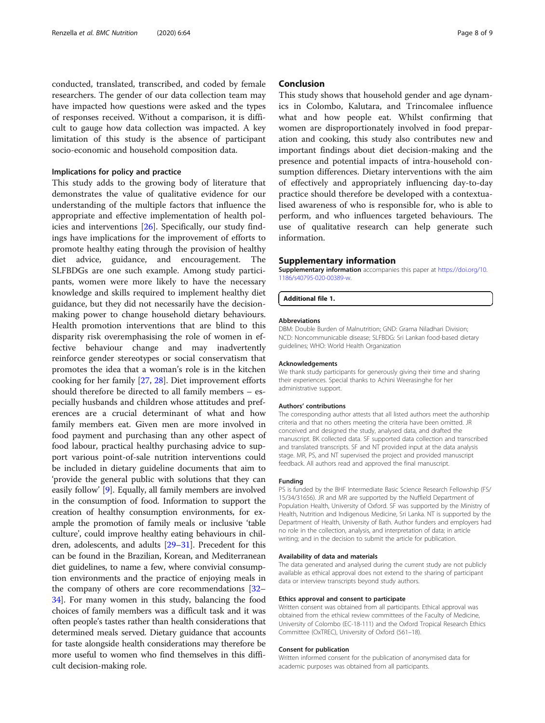conducted, translated, transcribed, and coded by female researchers. The gender of our data collection team may have impacted how questions were asked and the types of responses received. Without a comparison, it is difficult to gauge how data collection was impacted. A key limitation of this study is the absence of participant socio-economic and household composition data.

#### Implications for policy and practice

This study adds to the growing body of literature that demonstrates the value of qualitative evidence for our understanding of the multiple factors that influence the appropriate and effective implementation of health policies and interventions [\[26](#page-8-0)]. Specifically, our study findings have implications for the improvement of efforts to promote healthy eating through the provision of healthy diet advice, guidance, and encouragement. The SLFBDGs are one such example. Among study participants, women were more likely to have the necessary knowledge and skills required to implement healthy diet guidance, but they did not necessarily have the decisionmaking power to change household dietary behaviours. Health promotion interventions that are blind to this disparity risk overemphasising the role of women in effective behaviour change and may inadvertently reinforce gender stereotypes or social conservatism that promotes the idea that a woman's role is in the kitchen cooking for her family [[27,](#page-8-0) [28](#page-8-0)]. Diet improvement efforts should therefore be directed to all family members – especially husbands and children whose attitudes and preferences are a crucial determinant of what and how family members eat. Given men are more involved in food payment and purchasing than any other aspect of food labour, practical healthy purchasing advice to support various point-of-sale nutrition interventions could be included in dietary guideline documents that aim to 'provide the general public with solutions that they can easily follow' [\[9](#page-8-0)]. Equally, all family members are involved in the consumption of food. Information to support the creation of healthy consumption environments, for example the promotion of family meals or inclusive 'table culture', could improve healthy eating behaviours in children, adolescents, and adults [[29](#page-8-0)–[31\]](#page-8-0). Precedent for this can be found in the Brazilian, Korean, and Mediterranean diet guidelines, to name a few, where convivial consumption environments and the practice of enjoying meals in the company of others are core recommendations [\[32](#page-8-0)– [34](#page-8-0)]. For many women in this study, balancing the food choices of family members was a difficult task and it was often people's tastes rather than health considerations that determined meals served. Dietary guidance that accounts for taste alongside health considerations may therefore be more useful to women who find themselves in this difficult decision-making role.

#### Conclusion

This study shows that household gender and age dynamics in Colombo, Kalutara, and Trincomalee influence what and how people eat. Whilst confirming that women are disproportionately involved in food preparation and cooking, this study also contributes new and important findings about diet decision-making and the presence and potential impacts of intra-household consumption differences. Dietary interventions with the aim of effectively and appropriately influencing day-to-day practice should therefore be developed with a contextualised awareness of who is responsible for, who is able to perform, and who influences targeted behaviours. The use of qualitative research can help generate such information.

#### Supplementary information

Supplementary information accompanies this paper at [https://doi.org/10.](https://doi.org/10.1186/s40795-020-00389-w) [1186/s40795-020-00389-w](https://doi.org/10.1186/s40795-020-00389-w).

#### Additional file 1.

#### Abbreviations

DBM: Double Burden of Malnutrition; GND: Grama Niladhari Division; NCD: Noncommunicable disease; SLFBDG: Sri Lankan food-based dietary guidelines; WHO: World Health Organization

#### Acknowledgements

We thank study participants for generously giving their time and sharing their experiences. Special thanks to Achini Weerasinghe for her administrative support.

#### Authors' contributions

The corresponding author attests that all listed authors meet the authorship criteria and that no others meeting the criteria have been omitted. JR conceived and designed the study, analysed data, and drafted the manuscript. BK collected data. SF supported data collection and transcribed and translated transcripts. SF and NT provided input at the data analysis stage. MR, PS, and NT supervised the project and provided manuscript feedback. All authors read and approved the final manuscript.

#### Funding

PS is funded by the BHF Intermediate Basic Science Research Fellowship (FS/ 15/34/31656). JR and MR are supported by the Nuffield Department of Population Health, University of Oxford. SF was supported by the Ministry of Health, Nutrition and Indigenous Medicine, Sri Lanka. NT is supported by the Department of Health, University of Bath. Author funders and employers had no role in the collection, analysis, and interpretation of data; in article writing; and in the decision to submit the article for publication.

#### Availability of data and materials

The data generated and analysed during the current study are not publicly available as ethical approval does not extend to the sharing of participant data or interview transcripts beyond study authors.

#### Ethics approval and consent to participate

Written consent was obtained from all participants. Ethical approval was obtained from the ethical review committees of the Faculty of Medicine, University of Colombo (EC-18-111) and the Oxford Tropical Research Ethics Committee (OxTREC), University of Oxford (561–18).

#### Consent for publication

Written informed consent for the publication of anonymised data for academic purposes was obtained from all participants.